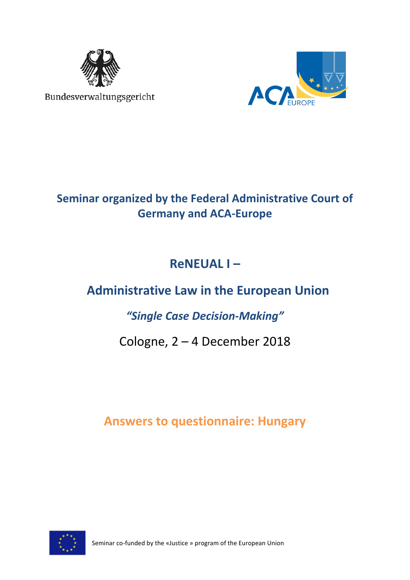

Bundesverwaltungsgericht



# **Seminar organized by the Federal Administrative Court of Germany and ACA-Europe**

# **ReNEUAL I –**

# **Administrative Law in the European Union**

## *"Single Case Decision-Making"*

# Cologne, 2 – 4 December 2018

## **Answers to questionnaire: Hungary**



Seminar co-funded by the «Justice » program of the European Union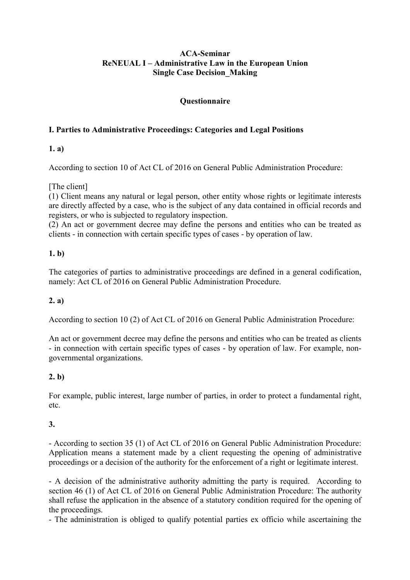## **ACA-Seminar ReNEUAL I – Administrative Law in the European Union Single Case Decision\_Making**

## **Questionnaire**

## **I. Parties to Administrative Proceedings: Categories and Legal Positions**

## **1. a)**

According to section 10 of Act CL of 2016 on General Public Administration Procedure:

[The client]

(1) Client means any natural or legal person, other entity whose rights or legitimate interests are directly affected by a case, who is the subject of any data contained in official records and registers, or who is subjected to regulatory inspection.

(2) An act or government decree may define the persons and entities who can be treated as clients - in connection with certain specific types of cases - by operation of law.

## **1. b)**

The categories of parties to administrative proceedings are defined in a general codification, namely: Act CL of 2016 on General Public Administration Procedure.

## **2. a)**

According to section 10 (2) of Act CL of 2016 on General Public Administration Procedure:

An act or government decree may define the persons and entities who can be treated as clients - in connection with certain specific types of cases - by operation of law. For example, nongovernmental organizations.

## **2. b)**

For example, public interest, large number of parties, in order to protect a fundamental right, etc.

## **3.**

- According to section 35 (1) of Act CL of 2016 on General Public Administration Procedure: Application means a statement made by a client requesting the opening of administrative proceedings or a decision of the authority for the enforcement of a right or legitimate interest.

- A decision of the administrative authority admitting the party is required. According to section 46 (1) of Act CL of 2016 on General Public Administration Procedure: The authority shall refuse the application in the absence of a statutory condition required for the opening of the proceedings.

- The administration is obliged to qualify potential parties ex officio while ascertaining the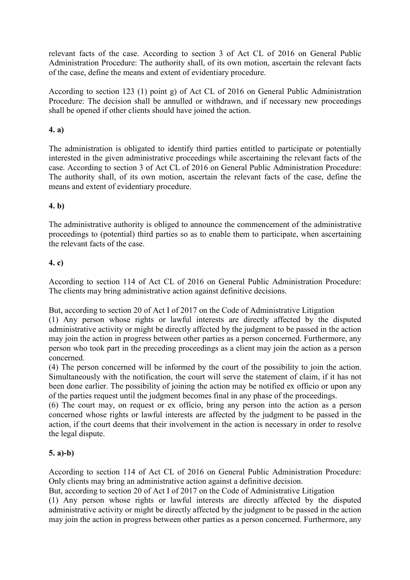relevant facts of the case. According to section 3 of Act CL of 2016 on General Public Administration Procedure: The authority shall, of its own motion, ascertain the relevant facts of the case, define the means and extent of evidentiary procedure.

According to section 123 (1) point g) of Act CL of 2016 on General Public Administration Procedure: The decision shall be annulled or withdrawn, and if necessary new proceedings shall be opened if other clients should have joined the action.

## **4. a)**

The administration is obligated to identify third parties entitled to participate or potentially interested in the given administrative proceedings while ascertaining the relevant facts of the case. According to section 3 of Act CL of 2016 on General Public Administration Procedure: The authority shall, of its own motion, ascertain the relevant facts of the case, define the means and extent of evidentiary procedure.

## **4. b)**

The administrative authority is obliged to announce the commencement of the administrative proceedings to (potential) third parties so as to enable them to participate, when ascertaining the relevant facts of the case.

## **4. c)**

According to section 114 of Act CL of 2016 on General Public Administration Procedure: The clients may bring administrative action against definitive decisions.

But, according to section 20 of Act I of 2017 on the Code of Administrative Litigation

(1) Any person whose rights or lawful interests are directly affected by the disputed administrative activity or might be directly affected by the judgment to be passed in the action may join the action in progress between other parties as a person concerned. Furthermore, any person who took part in the preceding proceedings as a client may join the action as a person concerned.

(4) The person concerned will be informed by the court of the possibility to join the action. Simultaneously with the notification, the court will serve the statement of claim, if it has not been done earlier. The possibility of joining the action may be notified ex officio or upon any of the parties request until the judgment becomes final in any phase of the proceedings.

(6) The court may, on request or ex officio, bring any person into the action as a person concerned whose rights or lawful interests are affected by the judgment to be passed in the action, if the court deems that their involvement in the action is necessary in order to resolve the legal dispute.

## **5. a)-b)**

According to section 114 of Act CL of 2016 on General Public Administration Procedure: Only clients may bring an administrative action against a definitive decision.

But, according to section 20 of Act I of 2017 on the Code of Administrative Litigation

(1) Any person whose rights or lawful interests are directly affected by the disputed administrative activity or might be directly affected by the judgment to be passed in the action may join the action in progress between other parties as a person concerned. Furthermore, any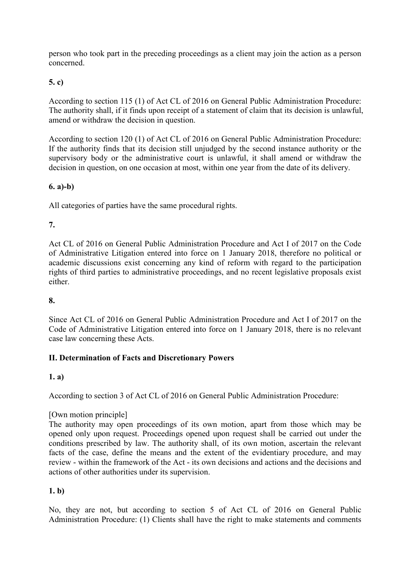person who took part in the preceding proceedings as a client may join the action as a person concerned.

## **5. c)**

According to section 115 (1) of Act CL of 2016 on General Public Administration Procedure: The authority shall, if it finds upon receipt of a statement of claim that its decision is unlawful, amend or withdraw the decision in question.

According to section 120 (1) of Act CL of 2016 on General Public Administration Procedure: If the authority finds that its decision still unjudged by the second instance authority or the supervisory body or the administrative court is unlawful, it shall amend or withdraw the decision in question, on one occasion at most, within one year from the date of its delivery.

## **6. a)-b)**

All categories of parties have the same procedural rights.

## **7.**

Act CL of 2016 on General Public Administration Procedure and Act I of 2017 on the Code of Administrative Litigation entered into force on 1 January 2018, therefore no political or academic discussions exist concerning any kind of reform with regard to the participation rights of third parties to administrative proceedings, and no recent legislative proposals exist either.

## **8.**

Since Act CL of 2016 on General Public Administration Procedure and Act I of 2017 on the Code of Administrative Litigation entered into force on 1 January 2018, there is no relevant case law concerning these Acts.

## **II. Determination of Facts and Discretionary Powers**

## **1. a)**

According to section 3 of Act CL of 2016 on General Public Administration Procedure:

## [Own motion principle]

The authority may open proceedings of its own motion, apart from those which may be opened only upon request. Proceedings opened upon request shall be carried out under the conditions prescribed by law. The authority shall, of its own motion, ascertain the relevant facts of the case, define the means and the extent of the evidentiary procedure, and may review - within the framework of the Act - its own decisions and actions and the decisions and actions of other authorities under its supervision.

## **1. b)**

No, they are not, but according to section 5 of Act CL of 2016 on General Public Administration Procedure: (1) Clients shall have the right to make statements and comments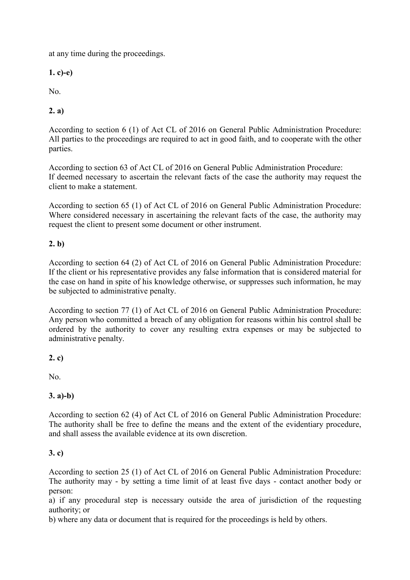at any time during the proceedings.

**1. c)-e)** 

No.

## **2. a)**

According to section 6 (1) of Act CL of 2016 on General Public Administration Procedure: All parties to the proceedings are required to act in good faith, and to cooperate with the other parties.

According to section 63 of Act CL of 2016 on General Public Administration Procedure: If deemed necessary to ascertain the relevant facts of the case the authority may request the client to make a statement.

According to section 65 (1) of Act CL of 2016 on General Public Administration Procedure: Where considered necessary in ascertaining the relevant facts of the case, the authority may request the client to present some document or other instrument.

## **2. b)**

According to section 64 (2) of Act CL of 2016 on General Public Administration Procedure: If the client or his representative provides any false information that is considered material for the case on hand in spite of his knowledge otherwise, or suppresses such information, he may be subjected to administrative penalty.

According to section 77 (1) of Act CL of 2016 on General Public Administration Procedure: Any person who committed a breach of any obligation for reasons within his control shall be ordered by the authority to cover any resulting extra expenses or may be subjected to administrative penalty.

## **2. c)**

No.

## **3. a)-b)**

According to section 62 (4) of Act CL of 2016 on General Public Administration Procedure: The authority shall be free to define the means and the extent of the evidentiary procedure, and shall assess the available evidence at its own discretion.

## **3. c)**

According to section 25 (1) of Act CL of 2016 on General Public Administration Procedure: The authority may - by setting a time limit of at least five days - contact another body or person:

a) if any procedural step is necessary outside the area of jurisdiction of the requesting authority; or

b) where any data or document that is required for the proceedings is held by others.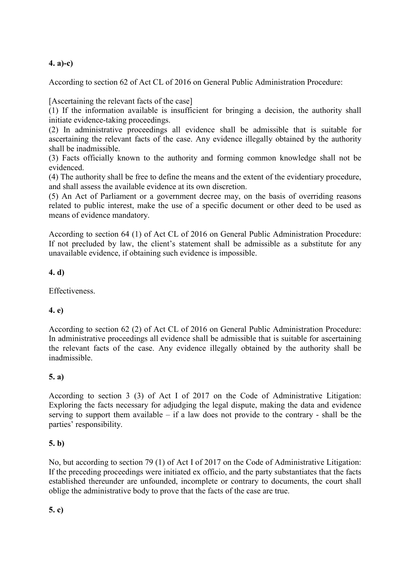## **4. a)-c)**

According to section 62 of Act CL of 2016 on General Public Administration Procedure:

[Ascertaining the relevant facts of the case]

(1) If the information available is insufficient for bringing a decision, the authority shall initiate evidence-taking proceedings.

(2) In administrative proceedings all evidence shall be admissible that is suitable for ascertaining the relevant facts of the case. Any evidence illegally obtained by the authority shall be inadmissible.

(3) Facts officially known to the authority and forming common knowledge shall not be evidenced.

(4) The authority shall be free to define the means and the extent of the evidentiary procedure, and shall assess the available evidence at its own discretion.

(5) An Act of Parliament or a government decree may, on the basis of overriding reasons related to public interest, make the use of a specific document or other deed to be used as means of evidence mandatory.

According to section 64 (1) of Act CL of 2016 on General Public Administration Procedure: If not precluded by law, the client's statement shall be admissible as a substitute for any unavailable evidence, if obtaining such evidence is impossible.

## **4. d)**

**Effectiveness** 

## **4. e)**

According to section 62 (2) of Act CL of 2016 on General Public Administration Procedure: In administrative proceedings all evidence shall be admissible that is suitable for ascertaining the relevant facts of the case. Any evidence illegally obtained by the authority shall be inadmissible.

## **5. a)**

According to section 3 (3) of Act I of 2017 on the Code of Administrative Litigation: Exploring the facts necessary for adjudging the legal dispute, making the data and evidence serving to support them available  $-$  if a law does not provide to the contrary - shall be the parties' responsibility.

## **5. b)**

No, but according to section 79 (1) of Act I of 2017 on the Code of Administrative Litigation: If the preceding proceedings were initiated ex officio, and the party substantiates that the facts established thereunder are unfounded, incomplete or contrary to documents, the court shall oblige the administrative body to prove that the facts of the case are true.

**5. c)**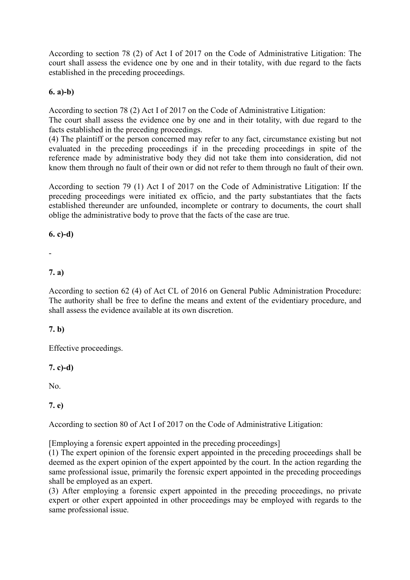According to section 78 (2) of Act I of 2017 on the Code of Administrative Litigation: The court shall assess the evidence one by one and in their totality, with due regard to the facts established in the preceding proceedings.

## **6. a)-b)**

According to section 78 (2) Act I of 2017 on the Code of Administrative Litigation:

The court shall assess the evidence one by one and in their totality, with due regard to the facts established in the preceding proceedings.

(4) The plaintiff or the person concerned may refer to any fact, circumstance existing but not evaluated in the preceding proceedings if in the preceding proceedings in spite of the reference made by administrative body they did not take them into consideration, did not know them through no fault of their own or did not refer to them through no fault of their own.

According to section 79 (1) Act I of 2017 on the Code of Administrative Litigation: If the preceding proceedings were initiated ex officio, and the party substantiates that the facts established thereunder are unfounded, incomplete or contrary to documents, the court shall oblige the administrative body to prove that the facts of the case are true.

## **6. c)-d)**

## -

## **7. a)**

According to section 62 (4) of Act CL of 2016 on General Public Administration Procedure: The authority shall be free to define the means and extent of the evidentiary procedure, and shall assess the evidence available at its own discretion.

## **7. b)**

Effective proceedings.

## **7. c)-d)**

No.

## **7. e)**

According to section 80 of Act I of 2017 on the Code of Administrative Litigation:

[Employing a forensic expert appointed in the preceding proceedings]

(1) The expert opinion of the forensic expert appointed in the preceding proceedings shall be deemed as the expert opinion of the expert appointed by the court. In the action regarding the same professional issue, primarily the forensic expert appointed in the preceding proceedings shall be employed as an expert.

(3) After employing a forensic expert appointed in the preceding proceedings, no private expert or other expert appointed in other proceedings may be employed with regards to the same professional issue.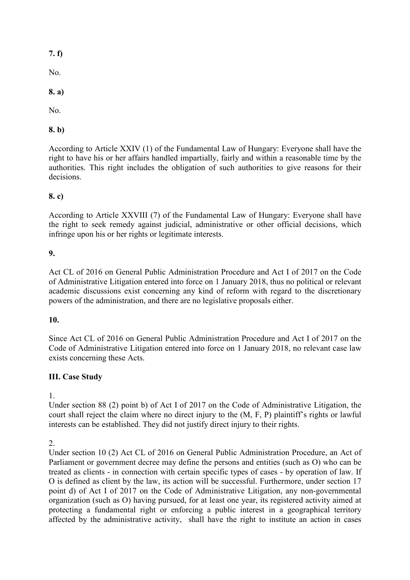**7. f)** 

No.

**8. a)** 

No.

## **8. b)**

According to Article XXIV (1) of the Fundamental Law of Hungary: Everyone shall have the right to have his or her affairs handled impartially, fairly and within a reasonable time by the authorities. This right includes the obligation of such authorities to give reasons for their decisions.

## **8. c)**

According to Article XXVIII (7) of the Fundamental Law of Hungary: Everyone shall have the right to seek remedy against judicial, administrative or other official decisions, which infringe upon his or her rights or legitimate interests.

## **9.**

Act CL of 2016 on General Public Administration Procedure and Act I of 2017 on the Code of Administrative Litigation entered into force on 1 January 2018, thus no political or relevant academic discussions exist concerning any kind of reform with regard to the discretionary powers of the administration, and there are no legislative proposals either.

## **10.**

Since Act CL of 2016 on General Public Administration Procedure and Act I of 2017 on the Code of Administrative Litigation entered into force on 1 January 2018, no relevant case law exists concerning these Acts.

## **III. Case Study**

1.

Under section 88 (2) point b) of Act I of 2017 on the Code of Administrative Litigation, the court shall reject the claim where no direct injury to the (M, F, P) plaintiff's rights or lawful interests can be established. They did not justify direct injury to their rights.

 $2^{\circ}$ 

Under section 10 (2) Act CL of 2016 on General Public Administration Procedure, an Act of Parliament or government decree may define the persons and entities (such as O) who can be treated as clients - in connection with certain specific types of cases - by operation of law. If O is defined as client by the law, its action will be successful. Furthermore, under section 17 point d) of Act I of 2017 on the Code of Administrative Litigation, any non-governmental organization (such as O) having pursued, for at least one year, its registered activity aimed at protecting a fundamental right or enforcing a public interest in a geographical territory affected by the administrative activity, shall have the right to institute an action in cases